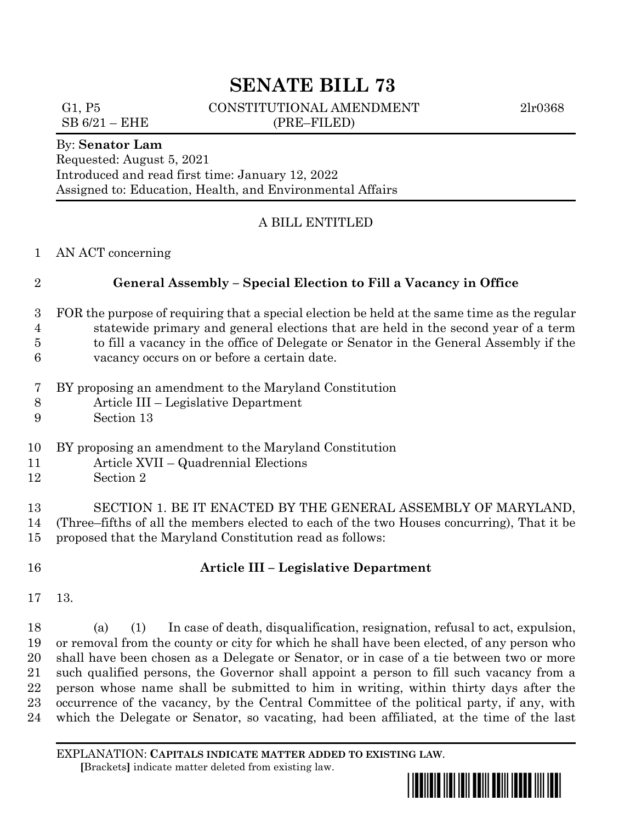# **SENATE BILL 73**

G1, P5 CONSTITUTIONAL AMENDMENT 2lr0368

 $SB 6/21 - EHE$  (PRE–FILED)

### By: **Senator Lam**

Requested: August 5, 2021 Introduced and read first time: January 12, 2022 Assigned to: Education, Health, and Environmental Affairs

## A BILL ENTITLED

#### AN ACT concerning

## **General Assembly – Special Election to Fill a Vacancy in Office**

- FOR the purpose of requiring that a special election be held at the same time as the regular statewide primary and general elections that are held in the second year of a term to fill a vacancy in the office of Delegate or Senator in the General Assembly if the
- vacancy occurs on or before a certain date.
- BY proposing an amendment to the Maryland Constitution
- Article III Legislative Department
- Section 13
- BY proposing an amendment to the Maryland Constitution
- Article XVII Quadrennial Elections
- Section 2
- SECTION 1. BE IT ENACTED BY THE GENERAL ASSEMBLY OF MARYLAND, (Three–fifths of all the members elected to each of the two Houses concurring), That it be proposed that the Maryland Constitution read as follows:
- 

## **Article III – Legislative Department**

13.

 (a) (1) In case of death, disqualification, resignation, refusal to act, expulsion, or removal from the county or city for which he shall have been elected, of any person who shall have been chosen as a Delegate or Senator, or in case of a tie between two or more such qualified persons, the Governor shall appoint a person to fill such vacancy from a person whose name shall be submitted to him in writing, within thirty days after the occurrence of the vacancy, by the Central Committee of the political party, if any, with which the Delegate or Senator, so vacating, had been affiliated, at the time of the last

EXPLANATION: **CAPITALS INDICATE MATTER ADDED TO EXISTING LAW**.  **[**Brackets**]** indicate matter deleted from existing law.

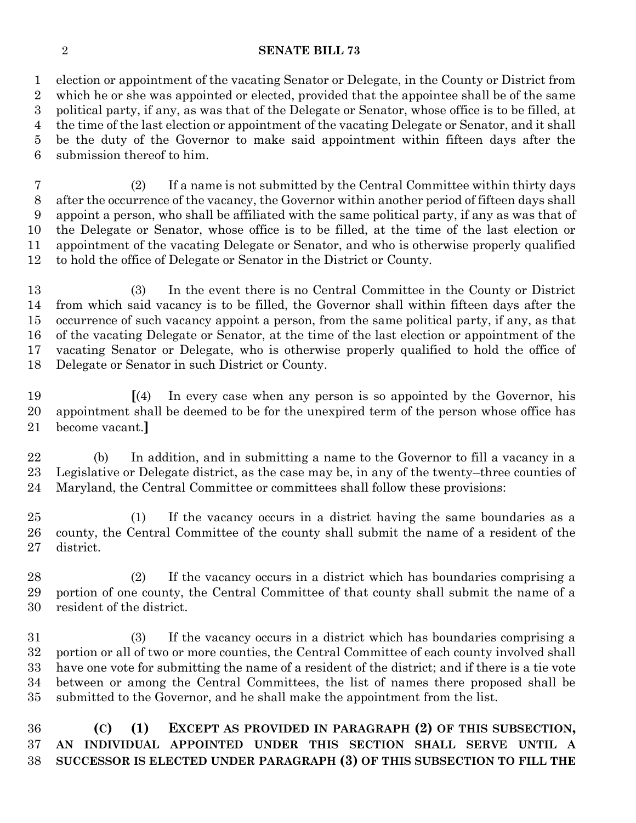#### **SENATE BILL 73**

 election or appointment of the vacating Senator or Delegate, in the County or District from which he or she was appointed or elected, provided that the appointee shall be of the same political party, if any, as was that of the Delegate or Senator, whose office is to be filled, at the time of the last election or appointment of the vacating Delegate or Senator, and it shall be the duty of the Governor to make said appointment within fifteen days after the submission thereof to him.

 (2) If a name is not submitted by the Central Committee within thirty days after the occurrence of the vacancy, the Governor within another period of fifteen days shall appoint a person, who shall be affiliated with the same political party, if any as was that of the Delegate or Senator, whose office is to be filled, at the time of the last election or appointment of the vacating Delegate or Senator, and who is otherwise properly qualified to hold the office of Delegate or Senator in the District or County.

 (3) In the event there is no Central Committee in the County or District from which said vacancy is to be filled, the Governor shall within fifteen days after the occurrence of such vacancy appoint a person, from the same political party, if any, as that of the vacating Delegate or Senator, at the time of the last election or appointment of the vacating Senator or Delegate, who is otherwise properly qualified to hold the office of Delegate or Senator in such District or County.

 **[**(4) In every case when any person is so appointed by the Governor, his appointment shall be deemed to be for the unexpired term of the person whose office has become vacant.**]**

 (b) In addition, and in submitting a name to the Governor to fill a vacancy in a Legislative or Delegate district, as the case may be, in any of the twenty–three counties of Maryland, the Central Committee or committees shall follow these provisions:

 (1) If the vacancy occurs in a district having the same boundaries as a county, the Central Committee of the county shall submit the name of a resident of the district.

 (2) If the vacancy occurs in a district which has boundaries comprising a portion of one county, the Central Committee of that county shall submit the name of a resident of the district.

 (3) If the vacancy occurs in a district which has boundaries comprising a portion or all of two or more counties, the Central Committee of each county involved shall have one vote for submitting the name of a resident of the district; and if there is a tie vote between or among the Central Committees, the list of names there proposed shall be submitted to the Governor, and he shall make the appointment from the list.

 **(C) (1) EXCEPT AS PROVIDED IN PARAGRAPH (2) OF THIS SUBSECTION, AN INDIVIDUAL APPOINTED UNDER THIS SECTION SHALL SERVE UNTIL A SUCCESSOR IS ELECTED UNDER PARAGRAPH (3) OF THIS SUBSECTION TO FILL THE**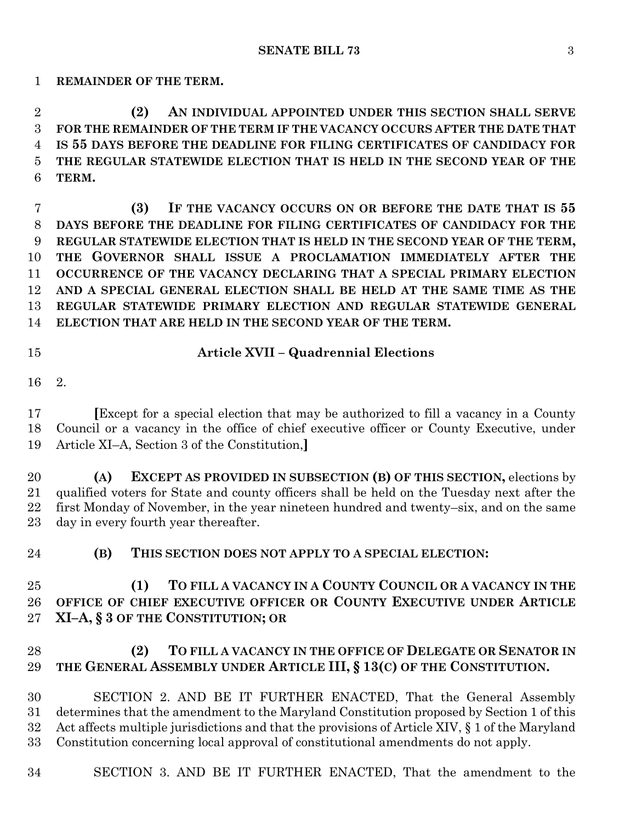**REMAINDER OF THE TERM.**

 **(2) AN INDIVIDUAL APPOINTED UNDER THIS SECTION SHALL SERVE FOR THE REMAINDER OF THE TERM IF THE VACANCY OCCURS AFTER THE DATE THAT IS 55 DAYS BEFORE THE DEADLINE FOR FILING CERTIFICATES OF CANDIDACY FOR THE REGULAR STATEWIDE ELECTION THAT IS HELD IN THE SECOND YEAR OF THE TERM.**

 **(3) IF THE VACANCY OCCURS ON OR BEFORE THE DATE THAT IS 55 DAYS BEFORE THE DEADLINE FOR FILING CERTIFICATES OF CANDIDACY FOR THE REGULAR STATEWIDE ELECTION THAT IS HELD IN THE SECOND YEAR OF THE TERM, THE GOVERNOR SHALL ISSUE A PROCLAMATION IMMEDIATELY AFTER THE OCCURRENCE OF THE VACANCY DECLARING THAT A SPECIAL PRIMARY ELECTION AND A SPECIAL GENERAL ELECTION SHALL BE HELD AT THE SAME TIME AS THE REGULAR STATEWIDE PRIMARY ELECTION AND REGULAR STATEWIDE GENERAL ELECTION THAT ARE HELD IN THE SECOND YEAR OF THE TERM.**

## **Article XVII – Quadrennial Elections**

2.

 **[**Except for a special election that may be authorized to fill a vacancy in a County Council or a vacancy in the office of chief executive officer or County Executive, under Article XI–A, Section 3 of the Constitution,**]**

 **(A) EXCEPT AS PROVIDED IN SUBSECTION (B) OF THIS SECTION,** elections by qualified voters for State and county officers shall be held on the Tuesday next after the first Monday of November, in the year nineteen hundred and twenty–six, and on the same day in every fourth year thereafter.

**(B) THIS SECTION DOES NOT APPLY TO A SPECIAL ELECTION:**

# **(1) TO FILL A VACANCY IN A COUNTY COUNCIL OR A VACANCY IN THE OFFICE OF CHIEF EXECUTIVE OFFICER OR COUNTY EXECUTIVE UNDER ARTICLE XI–A, § 3 OF THE CONSTITUTION; OR**

# **(2) TO FILL A VACANCY IN THE OFFICE OF DELEGATE OR SENATOR IN THE GENERAL ASSEMBLY UNDER ARTICLE III, § 13(C) OF THE CONSTITUTION.**

 SECTION 2. AND BE IT FURTHER ENACTED, That the General Assembly determines that the amendment to the Maryland Constitution proposed by Section 1 of this Act affects multiple jurisdictions and that the provisions of Article XIV, § 1 of the Maryland Constitution concerning local approval of constitutional amendments do not apply.

SECTION 3. AND BE IT FURTHER ENACTED, That the amendment to the